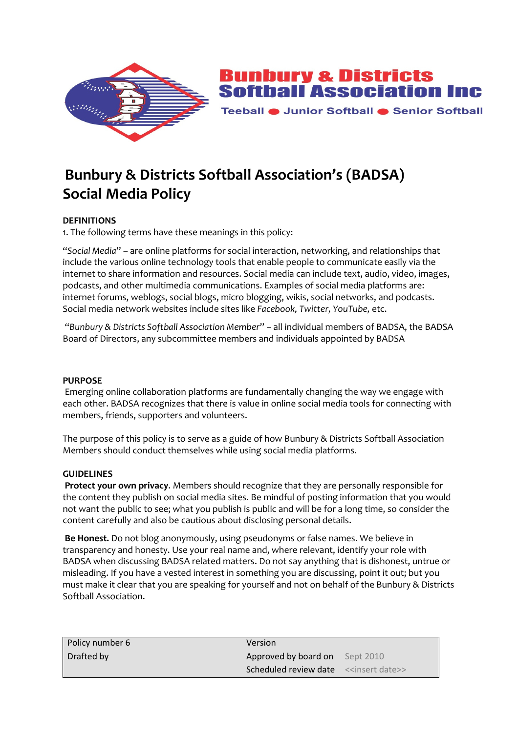

**Bunbury & Districts<br>Softball Association Inc** 

Teeball ● Junior Softball ● Senior Softball

# **Bunbury & Districts Softball Association's (BADSA) Social Media Policy**

# **DEFINITIONS**

1. The following terms have these meanings in this policy:

"*Social Media*" – are online platforms for social interaction, networking, and relationships that include the various online technology tools that enable people to communicate easily via the internet to share information and resources. Social media can include text, audio, video, images, podcasts, and other multimedia communications. Examples of social media platforms are: internet forums, weblogs, social blogs, micro blogging, wikis, social networks, and podcasts. Social media network websites include sites like *Facebook, Twitter, YouTube,* etc.

 "*Bunbury & Districts Softball Association Member*" – all individual members of BADSA, the BADSA Board of Directors, any subcommittee members and individuals appointed by BADSA

#### **PURPOSE**

 Emerging online collaboration platforms are fundamentally changing the way we engage with each other. BADSA recognizes that there is value in online social media tools for connecting with members, friends, supporters and volunteers.

The purpose of this policy is to serve as a guide of how Bunbury & Districts Softball Association Members should conduct themselves while using social media platforms.

## **GUIDELINES**

**Protect your own privacy**. Members should recognize that they are personally responsible for the content they publish on social media sites. Be mindful of posting information that you would not want the public to see; what you publish is public and will be for a long time, so consider the content carefully and also be cautious about disclosing personal details.

**Be Honest.** Do not blog anonymously, using pseudonyms or false names. We believe in transparency and honesty. Use your real name and, where relevant, identify your role with BADSA when discussing BADSA related matters. Do not say anything that is dishonest, untrue or misleading. If you have a vested interest in something you are discussing, point it out; but you must make it clear that you are speaking for yourself and not on behalf of the Bunbury & Districts Softball Association.

| Policy number 6 | Version                                                      |  |
|-----------------|--------------------------------------------------------------|--|
| Drafted by      | Approved by board on Sept 2010                               |  |
|                 | <b>Scheduled review date</b> < <insert date="">&gt;</insert> |  |